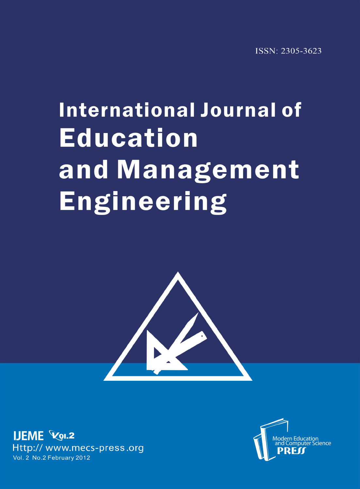## **International Journal of Education** and Management **Engineering**



**IJEME Vol.2** Http:// www.mecs-press.org Vol. 2 No. 2 February 2012